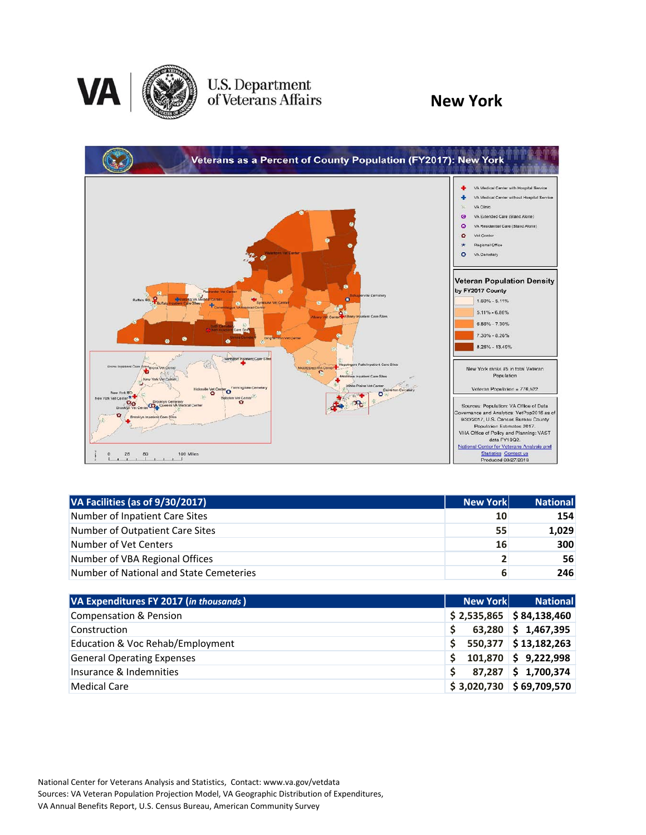

# U.S. Department<br>of Veterans Affairs

### **New York**



| VA Facilities (as of 9/30/2017)         | <b>New York</b> | <b>National</b> |
|-----------------------------------------|-----------------|-----------------|
| Number of Inpatient Care Sites          | 10              | 154             |
| Number of Outpatient Care Sites         | 55              | 1,029           |
| Number of Vet Centers                   | 16              | 300             |
| Number of VBA Regional Offices          | $\overline{2}$  | 56              |
| Number of National and State Cemeteries | 6               | 246             |

| VA Expenditures FY 2017 (in thousands) | New York | <b>National</b>            |
|----------------------------------------|----------|----------------------------|
| <b>Compensation &amp; Pension</b>      |          | $$2,535,865$ $$84,138,460$ |
| Construction                           |          | $63,280$ \$ 1,467,395      |
| Education & Voc Rehab/Employment       |          | 550,377 \$13,182,263       |
| <b>General Operating Expenses</b>      |          | $101,870$ \$ 9,222,998     |
| Insurance & Indemnities                |          | 87,287 \$1,700,374         |
| <b>Medical Care</b>                    |          | $$3,020,730$ $$69,709,570$ |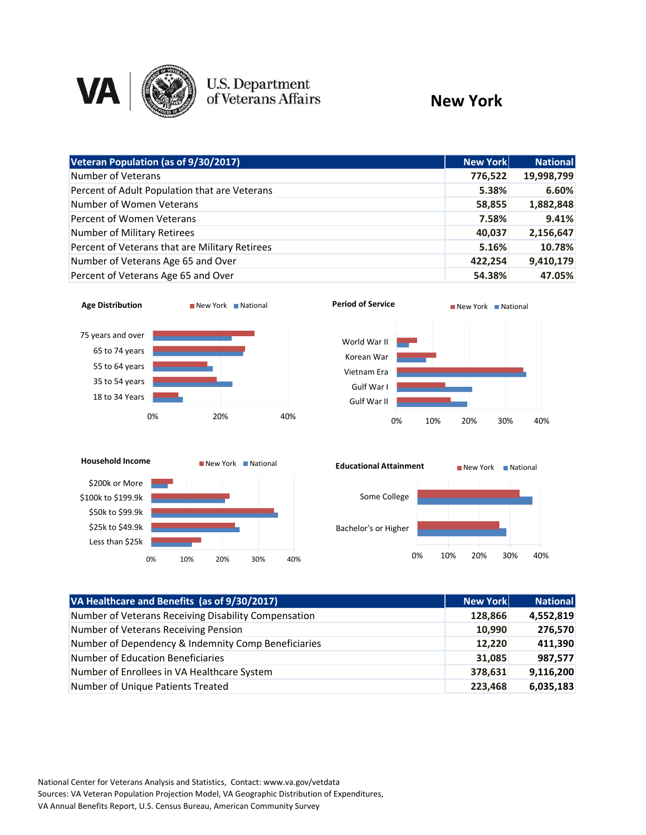

## U.S. Department<br>of Veterans Affairs

#### **New York**

| Veteran Population (as of 9/30/2017)           | <b>New York</b> | <b>National</b> |
|------------------------------------------------|-----------------|-----------------|
|                                                |                 |                 |
| Number of Veterans                             | 776,522         | 19,998,799      |
| Percent of Adult Population that are Veterans  | 5.38%           | 6.60%           |
| Number of Women Veterans                       | 58,855          | 1,882,848       |
| Percent of Women Veterans                      | 7.58%           | 9.41%           |
| Number of Military Retirees                    | 40,037          | 2,156,647       |
| Percent of Veterans that are Military Retirees | 5.16%           | 10.78%          |
| Number of Veterans Age 65 and Over             | 422,254         | 9,410,179       |
| Percent of Veterans Age 65 and Over            | 54.38%          | 47.05%          |









| VA Healthcare and Benefits (as of 9/30/2017)         | New York | <b>National</b> |
|------------------------------------------------------|----------|-----------------|
| Number of Veterans Receiving Disability Compensation | 128,866  | 4,552,819       |
| Number of Veterans Receiving Pension                 | 10,990   | 276,570         |
| Number of Dependency & Indemnity Comp Beneficiaries  | 12,220   | 411,390         |
| <b>Number of Education Beneficiaries</b>             | 31,085   | 987,577         |
| Number of Enrollees in VA Healthcare System          | 378,631  | 9,116,200       |
| Number of Unique Patients Treated                    | 223,468  | 6,035,183       |

National Center for Veterans Analysis and Statistics, Contact: www.va.gov/vetdata Sources: VA Veteran Population Projection Model, VA Geographic Distribution of Expenditures, VA Annual Benefits Report, U.S. Census Bureau, American Community Survey